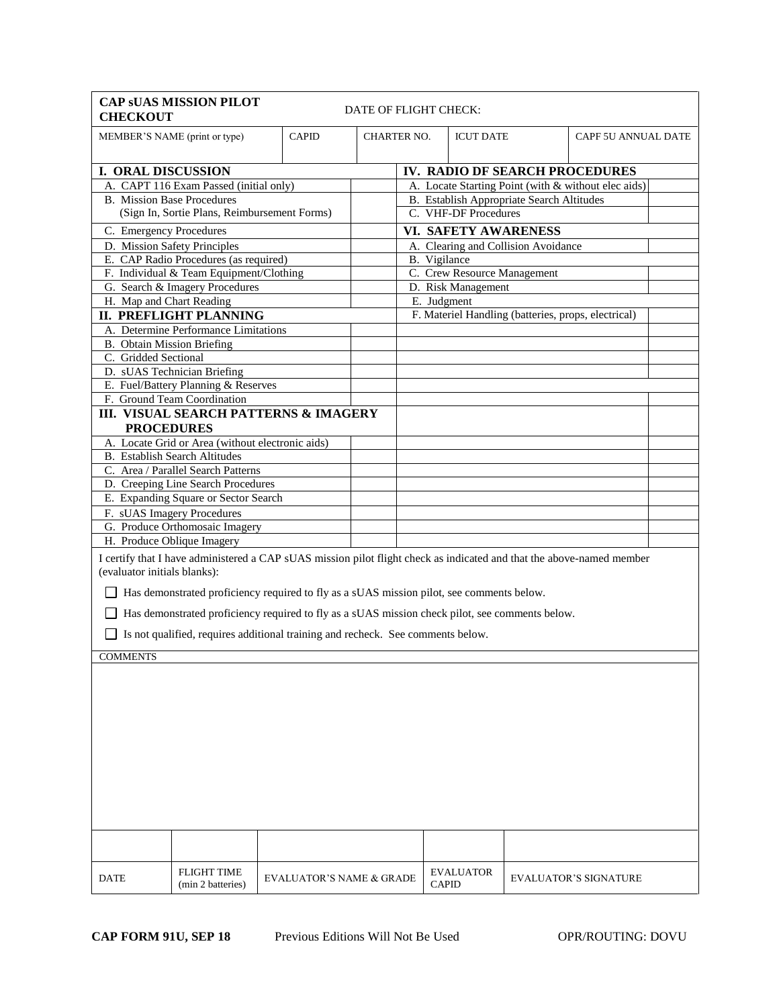| <b>CAP sUAS MISSION PILOT</b><br>DATE OF FLIGHT CHECK:<br><b>CHECKOUT</b>                                                                                                                                                                          |                                         |                                                     |                                     |                    |                                                     |                                  |                              |                            |  |
|----------------------------------------------------------------------------------------------------------------------------------------------------------------------------------------------------------------------------------------------------|-----------------------------------------|-----------------------------------------------------|-------------------------------------|--------------------|-----------------------------------------------------|----------------------------------|------------------------------|----------------------------|--|
| MEMBER'S NAME (print or type)                                                                                                                                                                                                                      |                                         | <b>CAPID</b>                                        |                                     | <b>CHARTER NO.</b> |                                                     | <b>ICUT DATE</b>                 |                              | <b>CAPF 5U ANNUAL DATE</b> |  |
| <b>I. ORAL DISCUSSION</b>                                                                                                                                                                                                                          |                                         |                                                     |                                     |                    | IV. RADIO DF SEARCH PROCEDURES                      |                                  |                              |                            |  |
| A. CAPT 116 Exam Passed (initial only)                                                                                                                                                                                                             |                                         | A. Locate Starting Point (with & without elec aids) |                                     |                    |                                                     |                                  |                              |                            |  |
| <b>B.</b> Mission Base Procedures                                                                                                                                                                                                                  |                                         |                                                     |                                     |                    | B. Establish Appropriate Search Altitudes           |                                  |                              |                            |  |
| (Sign In, Sortie Plans, Reimbursement Forms)                                                                                                                                                                                                       |                                         |                                                     |                                     |                    | C. VHF-DF Procedures                                |                                  |                              |                            |  |
| C. Emergency Procedures                                                                                                                                                                                                                            |                                         |                                                     |                                     |                    | VI. SAFETY AWARENESS                                |                                  |                              |                            |  |
| D. Mission Safety Principles                                                                                                                                                                                                                       |                                         |                                                     |                                     |                    | A. Clearing and Collision Avoidance                 |                                  |                              |                            |  |
| E. CAP Radio Procedures (as required)                                                                                                                                                                                                              |                                         |                                                     |                                     |                    | <b>B.</b> Vigilance                                 |                                  |                              |                            |  |
| F. Individual & Team Equipment/Clothing                                                                                                                                                                                                            |                                         |                                                     |                                     |                    | C. Crew Resource Management                         |                                  |                              |                            |  |
| G. Search & Imagery Procedures                                                                                                                                                                                                                     |                                         |                                                     |                                     |                    | D. Risk Management<br>E. Judgment                   |                                  |                              |                            |  |
| H. Map and Chart Reading<br><b>II. PREFLIGHT PLANNING</b>                                                                                                                                                                                          |                                         |                                                     |                                     |                    | F. Materiel Handling (batteries, props, electrical) |                                  |                              |                            |  |
| A. Determine Performance Limitations                                                                                                                                                                                                               |                                         |                                                     |                                     |                    |                                                     |                                  |                              |                            |  |
| <b>B.</b> Obtain Mission Briefing                                                                                                                                                                                                                  |                                         |                                                     |                                     |                    |                                                     |                                  |                              |                            |  |
| C. Gridded Sectional                                                                                                                                                                                                                               |                                         |                                                     |                                     |                    |                                                     |                                  |                              |                            |  |
| D. sUAS Technician Briefing                                                                                                                                                                                                                        |                                         |                                                     |                                     |                    |                                                     |                                  |                              |                            |  |
| E. Fuel/Battery Planning & Reserves                                                                                                                                                                                                                |                                         |                                                     |                                     |                    |                                                     |                                  |                              |                            |  |
| F. Ground Team Coordination                                                                                                                                                                                                                        |                                         |                                                     |                                     |                    |                                                     |                                  |                              |                            |  |
| III. VISUAL SEARCH PATTERNS & IMAGERY<br><b>PROCEDURES</b>                                                                                                                                                                                         |                                         |                                                     |                                     |                    |                                                     |                                  |                              |                            |  |
| A. Locate Grid or Area (without electronic aids)                                                                                                                                                                                                   |                                         |                                                     |                                     |                    |                                                     |                                  |                              |                            |  |
| <b>B.</b> Establish Search Altitudes                                                                                                                                                                                                               |                                         |                                                     |                                     |                    |                                                     |                                  |                              |                            |  |
| C. Area / Parallel Search Patterns                                                                                                                                                                                                                 |                                         |                                                     |                                     |                    |                                                     |                                  |                              |                            |  |
| D. Creeping Line Search Procedures                                                                                                                                                                                                                 |                                         |                                                     |                                     |                    |                                                     |                                  |                              |                            |  |
| E. Expanding Square or Sector Search<br>F. sUAS Imagery Procedures                                                                                                                                                                                 |                                         |                                                     |                                     |                    |                                                     |                                  |                              |                            |  |
| G. Produce Orthomosaic Imagery                                                                                                                                                                                                                     |                                         |                                                     |                                     |                    |                                                     |                                  |                              |                            |  |
| H. Produce Oblique Imagery                                                                                                                                                                                                                         |                                         |                                                     |                                     |                    |                                                     |                                  |                              |                            |  |
| I certify that I have administered a CAP sUAS mission pilot flight check as indicated and that the above-named member<br>(evaluator initials blanks):<br>Has demonstrated proficiency required to fly as a sUAS mission pilot, see comments below. |                                         |                                                     |                                     |                    |                                                     |                                  |                              |                            |  |
|                                                                                                                                                                                                                                                    |                                         |                                                     |                                     |                    |                                                     |                                  |                              |                            |  |
| □ Has demonstrated proficiency required to fly as a sUAS mission check pilot, see comments below.<br>Is not qualified, requires additional training and recheck. See comments below.                                                               |                                         |                                                     |                                     |                    |                                                     |                                  |                              |                            |  |
| <b>COMMENTS</b>                                                                                                                                                                                                                                    |                                         |                                                     |                                     |                    |                                                     |                                  |                              |                            |  |
|                                                                                                                                                                                                                                                    |                                         |                                                     |                                     |                    |                                                     |                                  |                              |                            |  |
|                                                                                                                                                                                                                                                    |                                         |                                                     |                                     |                    |                                                     |                                  |                              |                            |  |
|                                                                                                                                                                                                                                                    |                                         |                                                     |                                     |                    |                                                     |                                  |                              |                            |  |
|                                                                                                                                                                                                                                                    |                                         |                                                     |                                     |                    |                                                     |                                  |                              |                            |  |
|                                                                                                                                                                                                                                                    |                                         |                                                     |                                     |                    |                                                     |                                  |                              |                            |  |
|                                                                                                                                                                                                                                                    |                                         |                                                     |                                     |                    |                                                     |                                  |                              |                            |  |
|                                                                                                                                                                                                                                                    |                                         |                                                     |                                     |                    |                                                     |                                  |                              |                            |  |
|                                                                                                                                                                                                                                                    |                                         |                                                     |                                     |                    |                                                     |                                  |                              |                            |  |
|                                                                                                                                                                                                                                                    |                                         |                                                     |                                     |                    |                                                     |                                  |                              |                            |  |
|                                                                                                                                                                                                                                                    |                                         |                                                     |                                     |                    |                                                     |                                  |                              |                            |  |
|                                                                                                                                                                                                                                                    |                                         |                                                     |                                     |                    |                                                     |                                  |                              |                            |  |
| DATE                                                                                                                                                                                                                                               | <b>FLIGHT TIME</b><br>(min 2 batteries) |                                                     | <b>EVALUATOR'S NAME &amp; GRADE</b> |                    |                                                     | <b>EVALUATOR</b><br><b>CAPID</b> | <b>EVALUATOR'S SIGNATURE</b> |                            |  |